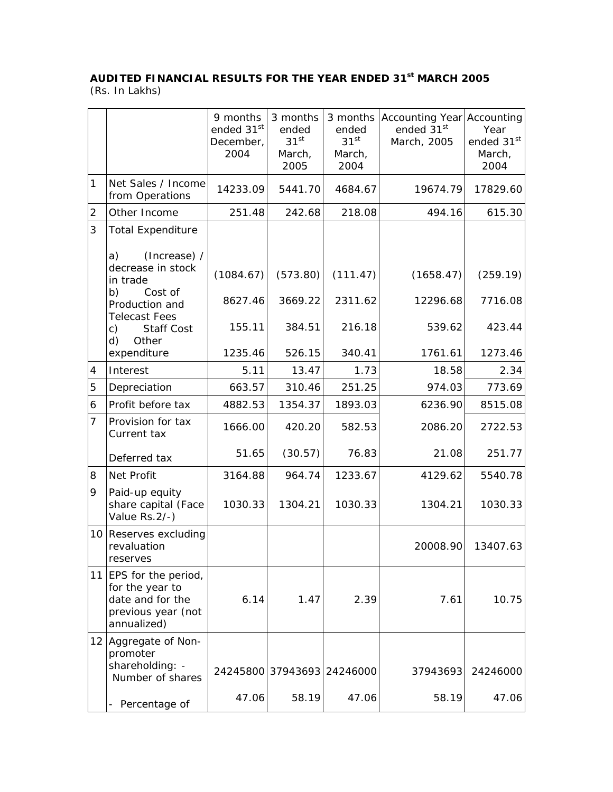## **AUDITED FINANCIAL RESULTS FOR THE YEAR ENDED 31st MARCH 2005**

(Rs. In Lakhs)

|                |                                                                                                    | 9 months<br>ended 31 <sup>st</sup><br>December,<br>2004 | 3 months<br>ended<br>31 <sup>st</sup><br>March,<br>2005 | ended<br>31 <sup>st</sup><br>March,<br>2004 | 3 months   Accounting Year   Accounting<br>ended 31st<br>March, 2005 | Year<br>ended 31st<br>March,<br>2004 |
|----------------|----------------------------------------------------------------------------------------------------|---------------------------------------------------------|---------------------------------------------------------|---------------------------------------------|----------------------------------------------------------------------|--------------------------------------|
| 1              | Net Sales / Income<br>from Operations                                                              | 14233.09                                                | 5441.70                                                 | 4684.67                                     | 19674.79                                                             | 17829.60                             |
| $\overline{2}$ | Other Income                                                                                       | 251.48                                                  | 242.68                                                  | 218.08                                      | 494.16                                                               | 615.30                               |
| 3              | <b>Total Expenditure</b>                                                                           |                                                         |                                                         |                                             |                                                                      |                                      |
|                | (Increase) /<br>a)<br>decrease in stock<br>in trade                                                | (1084.67)                                               | (573.80)                                                | (111.47)                                    | (1658.47)                                                            | (259.19)                             |
|                | b)<br>Cost of<br>Production and<br><b>Telecast Fees</b>                                            | 8627.46                                                 | 3669.22                                                 | 2311.62                                     | 12296.68                                                             | 7716.08                              |
|                | <b>Staff Cost</b><br>c)<br>Other<br>d)                                                             | 155.11                                                  | 384.51                                                  | 216.18                                      | 539.62                                                               | 423.44                               |
|                | expenditure                                                                                        | 1235.46                                                 | 526.15                                                  | 340.41                                      | 1761.61                                                              | 1273.46                              |
| 4              | Interest                                                                                           | 5.11                                                    | 13.47                                                   | 1.73                                        | 18.58                                                                | 2.34                                 |
| 5              | Depreciation                                                                                       | 663.57                                                  | 310.46                                                  | 251.25                                      | 974.03                                                               | 773.69                               |
| 6              | Profit before tax                                                                                  | 4882.53                                                 | 1354.37                                                 | 1893.03                                     | 6236.90                                                              | 8515.08                              |
| $\overline{7}$ | Provision for tax<br>Current tax                                                                   | 1666.00                                                 | 420.20                                                  | 582.53                                      | 2086.20                                                              | 2722.53                              |
|                | Deferred tax                                                                                       | 51.65                                                   | (30.57)                                                 | 76.83                                       | 21.08                                                                | 251.77                               |
| 8              | Net Profit                                                                                         | 3164.88                                                 | 964.74                                                  | 1233.67                                     | 4129.62                                                              | 5540.78                              |
| 9              | Paid-up equity<br>share capital (Face<br>Value Rs. 2/-)                                            | 1030.33                                                 | 1304.21                                                 | 1030.33                                     | 1304.21                                                              | 1030.33                              |
| 10             | Reserves excluding<br>revaluation<br>reserves                                                      |                                                         |                                                         |                                             | 20008.90                                                             | 13407.63                             |
|                | 11 EPS for the period,<br>for the year to<br>date and for the<br>previous year (not<br>annualized) | 6.14                                                    | 1.47                                                    | 2.39                                        | 7.61                                                                 | 10.75                                |
|                | 12 Aggregate of Non-<br>promoter<br>shareholding: -<br>Number of shares                            |                                                         |                                                         | 24245800 37943693 24246000                  | 37943693                                                             | 24246000                             |
|                | - Percentage of                                                                                    | 47.06                                                   | 58.19                                                   | 47.06                                       | 58.19                                                                | 47.06                                |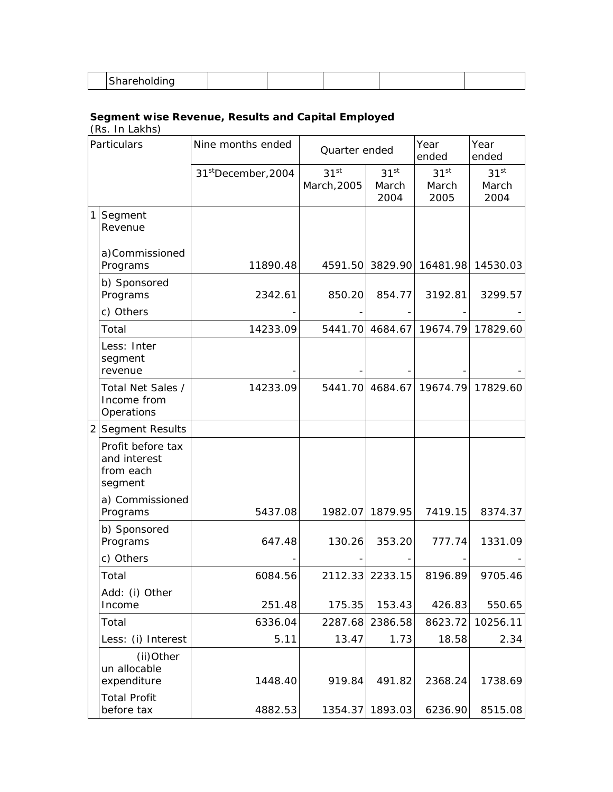|--|--|--|--|--|--|--|

## **Segment wise Revenue, Results and Capital Employed**

(Rs. In Lakhs)

| Particulars    |                                                           | Nine months ended               | Quarter ended                   |                                   | Year<br>ended                     | Year<br>ended                     |
|----------------|-----------------------------------------------------------|---------------------------------|---------------------------------|-----------------------------------|-----------------------------------|-----------------------------------|
|                |                                                           | 31 <sup>st</sup> December, 2004 | 31 <sup>st</sup><br>March, 2005 | 31 <sup>st</sup><br>March<br>2004 | 31 <sup>st</sup><br>March<br>2005 | 31 <sup>st</sup><br>March<br>2004 |
| 1              | Segment<br>Revenue                                        |                                 |                                 |                                   |                                   |                                   |
|                | a)Commissioned<br>Programs                                | 11890.48                        | 4591.50                         |                                   | 3829.90 16481.98                  | 14530.03                          |
|                | b) Sponsored<br>Programs                                  | 2342.61                         | 850.20                          | 854.77                            | 3192.81                           | 3299.57                           |
|                | c) Others                                                 |                                 |                                 |                                   |                                   |                                   |
|                | Total                                                     | 14233.09                        | 5441.70                         | 4684.67                           | 19674.79                          | 17829.60                          |
|                | Less: Inter<br>segment<br>revenue                         |                                 |                                 |                                   |                                   |                                   |
|                | Total Net Sales /<br>Income from<br>Operations            | 14233.09                        | 5441.70                         | 4684.67                           | 19674.79                          | 17829.60                          |
| $\overline{2}$ | Segment Results                                           |                                 |                                 |                                   |                                   |                                   |
|                | Profit before tax<br>and interest<br>from each<br>segment |                                 |                                 |                                   |                                   |                                   |
|                | a) Commissioned<br>Programs                               | 5437.08                         | 1982.07                         | 1879.95                           | 7419.15                           | 8374.37                           |
|                | b) Sponsored<br>Programs                                  | 647.48                          | 130.26                          | 353.20                            | 777.74                            | 1331.09                           |
|                | c) Others                                                 |                                 |                                 |                                   |                                   |                                   |
|                | Total                                                     | 6084.56                         | 2112.33                         | 2233.15                           | 8196.89                           | 9705.46                           |
|                | Add: (i) Other<br>Income                                  | 251.48                          | 175.35                          | 153.43                            | 426.83                            | 550.65                            |
|                | Total                                                     | 6336.04                         | 2287.68                         | 2386.58                           | 8623.72                           | 10256.11                          |
|                | Less: (i) Interest                                        | 5.11                            | 13.47                           | 1.73                              | 18.58                             | 2.34                              |
|                | (ii)Other<br>un allocable<br>expenditure                  | 1448.40                         | 919.84                          | 491.82                            | 2368.24                           | 1738.69                           |
|                | <b>Total Profit</b><br>before tax                         | 4882.53                         | 1354.37                         | 1893.03                           | 6236.90                           | 8515.08                           |